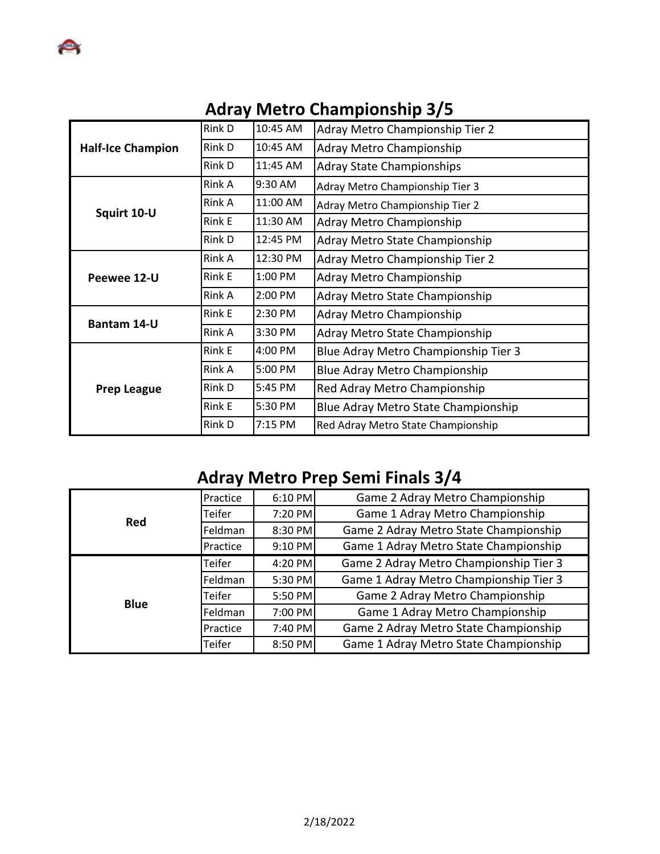|                          | Rink D        | 10:45 AM  | Adray Metro Championship Tier 2      |  |
|--------------------------|---------------|-----------|--------------------------------------|--|
| <b>Half-Ice Champion</b> | Rink D        | 10:45 AM  | Adray Metro Championship             |  |
|                          | Rink D        | 11:45 AM  | <b>Adray State Championships</b>     |  |
| Squirt 10-U              | Rink A        | $9:30$ AM | Adray Metro Championship Tier 3      |  |
|                          | Rink A        | 11:00 AM  | Adray Metro Championship Tier 2      |  |
|                          | <b>Rink E</b> | 11:30 AM  | Adray Metro Championship             |  |
|                          | Rink D        | 12:45 PM  | Adray Metro State Championship       |  |
| Peewee 12-U              | Rink A        | 12:30 PM  | Adray Metro Championship Tier 2      |  |
|                          | Rink E        | 1:00 PM   | Adray Metro Championship             |  |
|                          | Rink A        | 2:00 PM   | Adray Metro State Championship       |  |
| <b>Bantam 14-U</b>       | Rink E        | 2:30 PM   | Adray Metro Championship             |  |
|                          | Rink A        | 3:30 PM   | Adray Metro State Championship       |  |
|                          | Rink E        | 4:00 PM   | Blue Adray Metro Championship Tier 3 |  |
| <b>Prep League</b>       | Rink A        | 5:00 PM   | <b>Blue Adray Metro Championship</b> |  |
|                          | Rink D        | 5:45 PM   | Red Adray Metro Championship         |  |
|                          | Rink E        | 5:30 PM   | Blue Adray Metro State Championship  |  |
|                          | Rink D        | 7:15 PM   | Red Adray Metro State Championship   |  |

# **Adray Metro Championship 3/5**

# **Adray Metro Prep Semi Finals 3/4**

| Red         | Practice | 6:10 PM | Game 2 Adray Metro Championship        |  |  |
|-------------|----------|---------|----------------------------------------|--|--|
|             | Teifer   | 7:20 PM | Game 1 Adray Metro Championship        |  |  |
|             | Feldman  | 8:30 PM | Game 2 Adray Metro State Championship  |  |  |
|             | Practice | 9:10 PM | Game 1 Adray Metro State Championship  |  |  |
| <b>Blue</b> | Teifer   | 4:20 PM | Game 2 Adray Metro Championship Tier 3 |  |  |
|             | Feldman  | 5:30 PM | Game 1 Adray Metro Championship Tier 3 |  |  |
|             | Teifer   | 5:50 PM | Game 2 Adray Metro Championship        |  |  |
|             | Feldman  | 7:00 PM | Game 1 Adray Metro Championship        |  |  |
|             | Practice | 7:40 PM | Game 2 Adray Metro State Championship  |  |  |
|             | Teifer   | 8:50 PM | Game 1 Adray Metro State Championship  |  |  |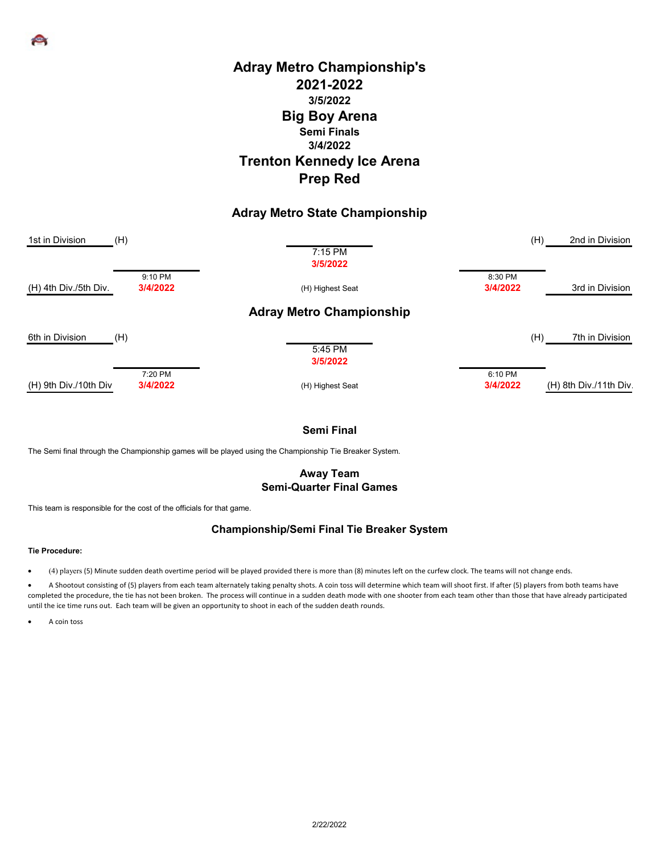# **Prep Red Adray Metro Championship's 2021-2022 Big Boy Arena Semi Finals 3/4/2022 Trenton Kennedy Ice Arena 3/5/2022**

## **Adray Metro State Championship**

| 1st in Division       | (H)      | $7:15$ PM<br>3/5/2022           | (H)      | 2nd in Division        |
|-----------------------|----------|---------------------------------|----------|------------------------|
|                       | 9:10 PM  |                                 | 8:30 PM  |                        |
| (H) 4th Div./5th Div. | 3/4/2022 | (H) Highest Seat                | 3/4/2022 | 3rd in Division        |
|                       |          | <b>Adray Metro Championship</b> |          |                        |
| 6th in Division       | (H)      |                                 | (H)      | 7th in Division        |
|                       |          | 5:45 PM<br>3/5/2022             |          |                        |
|                       | 7:20 PM  |                                 | 6:10 PM  |                        |
| (H) 9th Div./10th Div | 3/4/2022 | (H) Highest Seat                | 3/4/2022 | (H) 8th Div./11th Div. |

## **Semi Final**

The Semi final through the Championship games will be played using the Championship Tie Breaker System.

### **Away Team Semi-Quarter Final Games**

This team is responsible for the cost of the officials for that game.

### **Championship/Semi Final Tie Breaker System**

#### **Tie Procedure:**

• (4) players (5) Minute sudden death overtime period will be played provided there is more than (8) minutes left on the curfew clock. The teams will not change ends.

• A Shootout consisting of (5) players from each team alternately taking penalty shots. A coin toss will determine which team will shoot first. If after (5) players from both teams have completed the procedure, the tie has not been broken. The process will continue in a sudden death mode with one shooter from each team other than those that have already participated until the ice time runs out. Each team will be given an opportunity to shoot in each of the sudden death rounds.

A coin toss